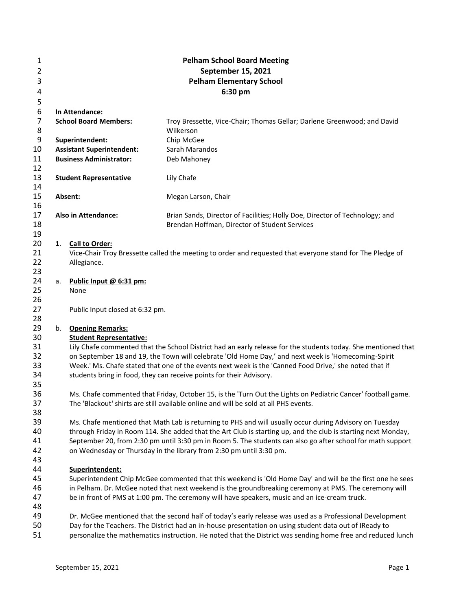| 1              | <b>Pelham School Board Meeting</b> |                                                                                                                                                                                                                          |                                                                                                                                                                                                               |  |  |  |  |  |  |  |
|----------------|------------------------------------|--------------------------------------------------------------------------------------------------------------------------------------------------------------------------------------------------------------------------|---------------------------------------------------------------------------------------------------------------------------------------------------------------------------------------------------------------|--|--|--|--|--|--|--|
| $\overline{2}$ | September 15, 2021                 |                                                                                                                                                                                                                          |                                                                                                                                                                                                               |  |  |  |  |  |  |  |
| 3              | <b>Pelham Elementary School</b>    |                                                                                                                                                                                                                          |                                                                                                                                                                                                               |  |  |  |  |  |  |  |
| 4              | 6:30 pm                            |                                                                                                                                                                                                                          |                                                                                                                                                                                                               |  |  |  |  |  |  |  |
| 5              |                                    |                                                                                                                                                                                                                          |                                                                                                                                                                                                               |  |  |  |  |  |  |  |
| 6              |                                    | In Attendance:                                                                                                                                                                                                           |                                                                                                                                                                                                               |  |  |  |  |  |  |  |
| $\overline{7}$ |                                    | <b>School Board Members:</b>                                                                                                                                                                                             | Troy Bressette, Vice-Chair; Thomas Gellar; Darlene Greenwood; and David                                                                                                                                       |  |  |  |  |  |  |  |
| 8              |                                    |                                                                                                                                                                                                                          | Wilkerson                                                                                                                                                                                                     |  |  |  |  |  |  |  |
| 9              |                                    | Superintendent:                                                                                                                                                                                                          | Chip McGee                                                                                                                                                                                                    |  |  |  |  |  |  |  |
| 10             |                                    | <b>Assistant Superintendent:</b>                                                                                                                                                                                         | Sarah Marandos                                                                                                                                                                                                |  |  |  |  |  |  |  |
| 11             |                                    | <b>Business Administrator:</b>                                                                                                                                                                                           | Deb Mahoney                                                                                                                                                                                                   |  |  |  |  |  |  |  |
| 12             |                                    |                                                                                                                                                                                                                          |                                                                                                                                                                                                               |  |  |  |  |  |  |  |
| 13             |                                    | <b>Student Representative</b>                                                                                                                                                                                            | Lily Chafe                                                                                                                                                                                                    |  |  |  |  |  |  |  |
| 14             |                                    |                                                                                                                                                                                                                          |                                                                                                                                                                                                               |  |  |  |  |  |  |  |
| 15             |                                    | Absent:                                                                                                                                                                                                                  | Megan Larson, Chair                                                                                                                                                                                           |  |  |  |  |  |  |  |
| 16             |                                    |                                                                                                                                                                                                                          |                                                                                                                                                                                                               |  |  |  |  |  |  |  |
| 17             |                                    | <b>Also in Attendance:</b>                                                                                                                                                                                               | Brian Sands, Director of Facilities; Holly Doe, Director of Technology; and                                                                                                                                   |  |  |  |  |  |  |  |
| 18             |                                    |                                                                                                                                                                                                                          | Brendan Hoffman, Director of Student Services                                                                                                                                                                 |  |  |  |  |  |  |  |
| 19             |                                    |                                                                                                                                                                                                                          |                                                                                                                                                                                                               |  |  |  |  |  |  |  |
| 20             | 1.                                 | <b>Call to Order:</b>                                                                                                                                                                                                    |                                                                                                                                                                                                               |  |  |  |  |  |  |  |
| 21             |                                    |                                                                                                                                                                                                                          | Vice-Chair Troy Bressette called the meeting to order and requested that everyone stand for The Pledge of                                                                                                     |  |  |  |  |  |  |  |
| 22             |                                    | Allegiance.                                                                                                                                                                                                              |                                                                                                                                                                                                               |  |  |  |  |  |  |  |
| 23             |                                    |                                                                                                                                                                                                                          |                                                                                                                                                                                                               |  |  |  |  |  |  |  |
| 24             | а.                                 | Public Input @ 6:31 pm:                                                                                                                                                                                                  |                                                                                                                                                                                                               |  |  |  |  |  |  |  |
| 25             |                                    | None                                                                                                                                                                                                                     |                                                                                                                                                                                                               |  |  |  |  |  |  |  |
| 26             |                                    |                                                                                                                                                                                                                          |                                                                                                                                                                                                               |  |  |  |  |  |  |  |
| 27             |                                    | Public Input closed at 6:32 pm.                                                                                                                                                                                          |                                                                                                                                                                                                               |  |  |  |  |  |  |  |
| 28             |                                    |                                                                                                                                                                                                                          |                                                                                                                                                                                                               |  |  |  |  |  |  |  |
| 29             |                                    | b. Opening Remarks:                                                                                                                                                                                                      |                                                                                                                                                                                                               |  |  |  |  |  |  |  |
| 30             |                                    | <b>Student Representative:</b>                                                                                                                                                                                           |                                                                                                                                                                                                               |  |  |  |  |  |  |  |
| 31             |                                    |                                                                                                                                                                                                                          | Lily Chafe commented that the School District had an early release for the students today. She mentioned that                                                                                                 |  |  |  |  |  |  |  |
| 32<br>33       |                                    |                                                                                                                                                                                                                          | on September 18 and 19, the Town will celebrate 'Old Home Day,' and next week is 'Homecoming-Spirit<br>Week.' Ms. Chafe stated that one of the events next week is the 'Canned Food Drive,' she noted that if |  |  |  |  |  |  |  |
| 34             |                                    |                                                                                                                                                                                                                          | students bring in food, they can receive points for their Advisory.                                                                                                                                           |  |  |  |  |  |  |  |
| 35             |                                    |                                                                                                                                                                                                                          |                                                                                                                                                                                                               |  |  |  |  |  |  |  |
| 36             |                                    |                                                                                                                                                                                                                          | Ms. Chafe commented that Friday, October 15, is the 'Turn Out the Lights on Pediatric Cancer' football game.                                                                                                  |  |  |  |  |  |  |  |
| 37             |                                    |                                                                                                                                                                                                                          | The 'Blackout' shirts are still available online and will be sold at all PHS events.                                                                                                                          |  |  |  |  |  |  |  |
| 38             |                                    |                                                                                                                                                                                                                          |                                                                                                                                                                                                               |  |  |  |  |  |  |  |
| 39             |                                    |                                                                                                                                                                                                                          |                                                                                                                                                                                                               |  |  |  |  |  |  |  |
| 40             |                                    | Ms. Chafe mentioned that Math Lab is returning to PHS and will usually occur during Advisory on Tuesday<br>through Friday in Room 114. She added that the Art Club is starting up, and the club is starting next Monday, |                                                                                                                                                                                                               |  |  |  |  |  |  |  |
| 41             |                                    | September 20, from 2:30 pm until 3:30 pm in Room 5. The students can also go after school for math support                                                                                                               |                                                                                                                                                                                                               |  |  |  |  |  |  |  |
| 42             |                                    | on Wednesday or Thursday in the library from 2:30 pm until 3:30 pm.                                                                                                                                                      |                                                                                                                                                                                                               |  |  |  |  |  |  |  |
| 43             |                                    |                                                                                                                                                                                                                          |                                                                                                                                                                                                               |  |  |  |  |  |  |  |
| 44             |                                    | Superintendent:                                                                                                                                                                                                          |                                                                                                                                                                                                               |  |  |  |  |  |  |  |
| 45             |                                    |                                                                                                                                                                                                                          | Superintendent Chip McGee commented that this weekend is 'Old Home Day' and will be the first one he sees                                                                                                     |  |  |  |  |  |  |  |
| 46             |                                    |                                                                                                                                                                                                                          | in Pelham. Dr. McGee noted that next weekend is the groundbreaking ceremony at PMS. The ceremony will                                                                                                         |  |  |  |  |  |  |  |
| 47             |                                    |                                                                                                                                                                                                                          | be in front of PMS at 1:00 pm. The ceremony will have speakers, music and an ice-cream truck.                                                                                                                 |  |  |  |  |  |  |  |
| 48             |                                    |                                                                                                                                                                                                                          |                                                                                                                                                                                                               |  |  |  |  |  |  |  |
| 49             |                                    |                                                                                                                                                                                                                          | Dr. McGee mentioned that the second half of today's early release was used as a Professional Development                                                                                                      |  |  |  |  |  |  |  |
| 50             |                                    |                                                                                                                                                                                                                          | Day for the Teachers. The District had an in-house presentation on using student data out of IReady to                                                                                                        |  |  |  |  |  |  |  |
| 51             |                                    |                                                                                                                                                                                                                          | personalize the mathematics instruction. He noted that the District was sending home free and reduced lunch                                                                                                   |  |  |  |  |  |  |  |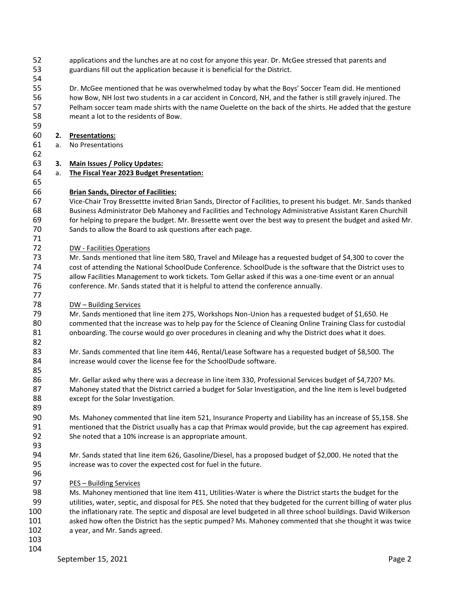- applications and the lunches are at no cost for anyone this year. Dr. McGee stressed that parents and guardians fill out the application because it is beneficial for the District.
- 

 Dr. McGee mentioned that he was overwhelmed today by what the Boys' Soccer Team did. He mentioned how Bow, NH lost two students in a car accident in Concord, NH, and the father is still gravely injured. The Pelham soccer team made shirts with the name Ouelette on the back of the shirts. He added that the gesture meant a lot to the residents of Bow.

# **2. Presentations:**

- a. No Presentations
- 

**3. Main Issues / Policy Updates:**

a. **The Fiscal Year 2023 Budget Presentation:**

# **Brian Sands, Director of Facilities:**

 Vice-Chair Troy Bressettte invited Brian Sands, Director of Facilities, to present his budget. Mr. Sands thanked Business Administrator Deb Mahoney and Facilities and Technology Administrative Assistant Karen Churchill for helping to prepare the budget. Mr. Bressette went over the best way to present the budget and asked Mr. Sands to allow the Board to ask questions after each page.

DW - Facilities Operations

 Mr. Sands mentioned that line item 580, Travel and Mileage has a requested budget of \$4,300 to cover the cost of attending the National SchoolDude Conference. SchoolDude is the software that the District uses to allow Facilities Management to work tickets. Tom Gellar asked if this was a one-time event or an annual conference. Mr. Sands stated that it is helpful to attend the conference annually.

DW – Building Services

 Mr. Sands mentioned that line item 275, Workshops Non-Union has a requested budget of \$1,650. He commented that the increase was to help pay for the Science of Cleaning Online Training Class for custodial 81 onboarding. The course would go over procedures in cleaning and why the District does what it does.

 Mr. Sands commented that line item 446, Rental/Lease Software has a requested budget of \$8,500. The increase would cover the license fee for the SchoolDude software.

 Mr. Gellar asked why there was a decrease in line item 330, Professional Services budget of \$4,720? Ms. 87 Mahoney stated that the District carried a budget for Solar Investigation, and the line item is level budgeted 88 except for the Solar Investigation.

 Ms. Mahoney commented that line item 521, Insurance Property and Liability has an increase of \$5,158. She mentioned that the District usually has a cap that Primax would provide, but the cap agreement has expired. She noted that a 10% increase is an appropriate amount.

 Mr. Sands stated that line item 626, Gasoline/Diesel, has a proposed budget of \$2,000. He noted that the increase was to cover the expected cost for fuel in the future.

PES – Building Services

 Ms. Mahoney mentioned that line item 411, Utilities-Water is where the District starts the budget for the utilities, water, septic, and disposal for PES. She noted that they budgeted for the current billing of water plus the inflationary rate. The septic and disposal are level budgeted in all three school buildings. David Wilkerson asked how often the District has the septic pumped? Ms. Mahoney commented that she thought it was twice a year, and Mr. Sands agreed.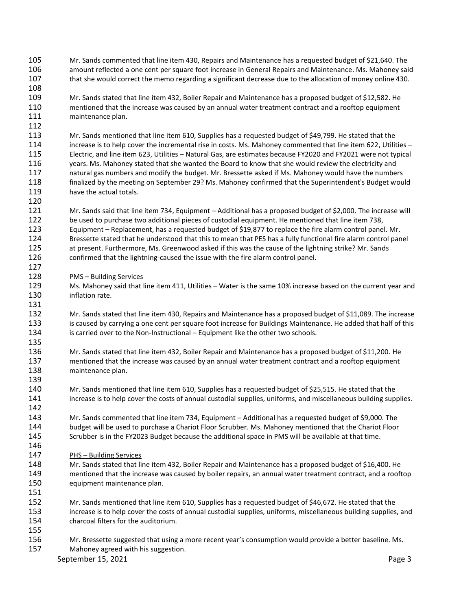- Mr. Sands commented that line item 430, Repairs and Maintenance has a requested budget of \$21,640. The amount reflected a one cent per square foot increase in General Repairs and Maintenance. Ms. Mahoney said that she would correct the memo regarding a significant decrease due to the allocation of money online 430.
- Mr. Sands stated that line item 432, Boiler Repair and Maintenance has a proposed budget of \$12,582. He mentioned that the increase was caused by an annual water treatment contract and a rooftop equipment 111 maintenance plan.
- Mr. Sands mentioned that line item 610, Supplies has a requested budget of \$49,799. He stated that the increase is to help cover the incremental rise in costs. Ms. Mahoney commented that line item 622, Utilities – Electric, and line item 623, Utilities – Natural Gas, are estimates because FY2020 and FY2021 were not typical years. Ms. Mahoney stated that she wanted the Board to know that she would review the electricity and natural gas numbers and modify the budget. Mr. Bressette asked if Ms. Mahoney would have the numbers finalized by the meeting on September 29? Ms. Mahoney confirmed that the Superintendent's Budget would have the actual totals.
- Mr. Sands said that line item 734, Equipment Additional has a proposed budget of \$2,000. The increase will be used to purchase two additional pieces of custodial equipment. He mentioned that line item 738, Equipment – Replacement, has a requested budget of \$19,877 to replace the fire alarm control panel. Mr. Bressette stated that he understood that this to mean that PES has a fully functional fire alarm control panel at present. Furthermore, Ms. Greenwood asked if this was the cause of the lightning strike? Mr. Sands confirmed that the lightning-caused the issue with the fire alarm control panel.
- PMS Building Services

- Ms. Mahoney said that line item 411, Utilities Water is the same 10% increase based on the current year and inflation rate.
- Mr. Sands stated that line item 430, Repairs and Maintenance has a proposed budget of \$11,089. The increase is caused by carrying a one cent per square foot increase for Buildings Maintenance. He added that half of this is carried over to the Non-Instructional – Equipment like the other two schools.
- Mr. Sands stated that line item 432, Boiler Repair and Maintenance has a proposed budget of \$11,200. He mentioned that the increase was caused by an annual water treatment contract and a rooftop equipment maintenance plan.
- Mr. Sands mentioned that line item 610, Supplies has a requested budget of \$25,515. He stated that the increase is to help cover the costs of annual custodial supplies, uniforms, and miscellaneous building supplies.
- Mr. Sands commented that line item 734, Equipment Additional has a requested budget of \$9,000. The budget will be used to purchase a Chariot Floor Scrubber. Ms. Mahoney mentioned that the Chariot Floor Scrubber is in the FY2023 Budget because the additional space in PMS will be available at that time.
- PHS – Building Services
- Mr. Sands stated that line item 432, Boiler Repair and Maintenance has a proposed budget of \$16,400. He mentioned that the increase was caused by boiler repairs, an annual water treatment contract, and a rooftop equipment maintenance plan.
- Mr. Sands mentioned that line item 610, Supplies has a requested budget of \$46,672. He stated that the increase is to help cover the costs of annual custodial supplies, uniforms, miscellaneous building supplies, and charcoal filters for the auditorium.
- 

 Mr. Bressette suggested that using a more recent year's consumption would provide a better baseline. Ms. Mahoney agreed with his suggestion.

September 15, 2021 **Page 3**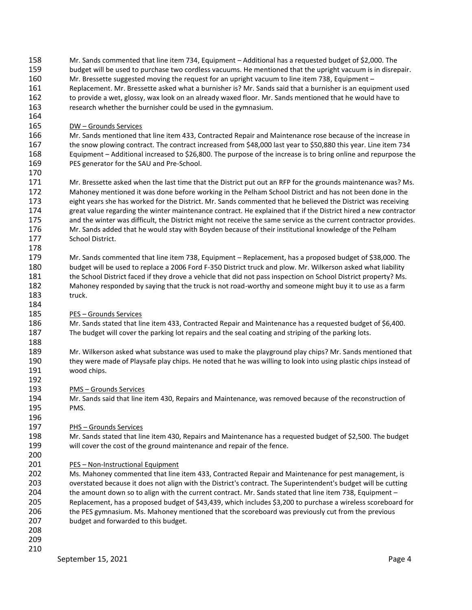- Mr. Sands commented that line item 734, Equipment Additional has a requested budget of \$2,000. The budget will be used to purchase two cordless vacuums. He mentioned that the upright vacuum is in disrepair. Mr. Bressette suggested moving the request for an upright vacuum to line item 738, Equipment – Replacement. Mr. Bressette asked what a burnisher is? Mr. Sands said that a burnisher is an equipment used to provide a wet, glossy, wax look on an already waxed floor. Mr. Sands mentioned that he would have to research whether the burnisher could be used in the gymnasium.
- DW Grounds Services

 Mr. Sands mentioned that line item 433, Contracted Repair and Maintenance rose because of the increase in the snow plowing contract. The contract increased from \$48,000 last year to \$50,880 this year. Line item 734 Equipment – Additional increased to \$26,800. The purpose of the increase is to bring online and repurpose the PES generator for the SAU and Pre-School.

 Mr. Bressette asked when the last time that the District put out an RFP for the grounds maintenance was? Ms. Mahoney mentioned it was done before working in the Pelham School District and has not been done in the eight years she has worked for the District. Mr. Sands commented that he believed the District was receiving great value regarding the winter maintenance contract. He explained that if the District hired a new contractor and the winter was difficult, the District might not receive the same service as the current contractor provides. Mr. Sands added that he would stay with Boyden because of their institutional knowledge of the Pelham School District.

 Mr. Sands commented that line item 738, Equipment – Replacement, has a proposed budget of \$38,000. The budget will be used to replace a 2006 Ford F-350 District truck and plow. Mr. Wilkerson asked what liability the School District faced if they drove a vehicle that did not pass inspection on School District property? Ms. Mahoney responded by saying that the truck is not road-worthy and someone might buy it to use as a farm truck.

PES – Grounds Services

 Mr. Sands stated that line item 433, Contracted Repair and Maintenance has a requested budget of \$6,400. The budget will cover the parking lot repairs and the seal coating and striping of the parking lots.

 Mr. Wilkerson asked what substance was used to make the playground play chips? Mr. Sands mentioned that they were made of Playsafe play chips. He noted that he was willing to look into using plastic chips instead of wood chips.

PMS – Grounds Services

 Mr. Sands said that line item 430, Repairs and Maintenance, was removed because of the reconstruction of PMS.

PHS – Grounds Services

 Mr. Sands stated that line item 430, Repairs and Maintenance has a requested budget of \$2,500. The budget will cover the cost of the ground maintenance and repair of the fence.

PES – Non-Instructional Equipment

 Ms. Mahoney commented that line item 433, Contracted Repair and Maintenance for pest management, is overstated because it does not align with the District's contract. The Superintendent's budget will be cutting 204 the amount down so to align with the current contract. Mr. Sands stated that line item 738, Equipment – Replacement, has a proposed budget of \$43,439, which includes \$3,200 to purchase a wireless scoreboard for the PES gymnasium. Ms. Mahoney mentioned that the scoreboard was previously cut from the previous budget and forwarded to this budget.

- 
-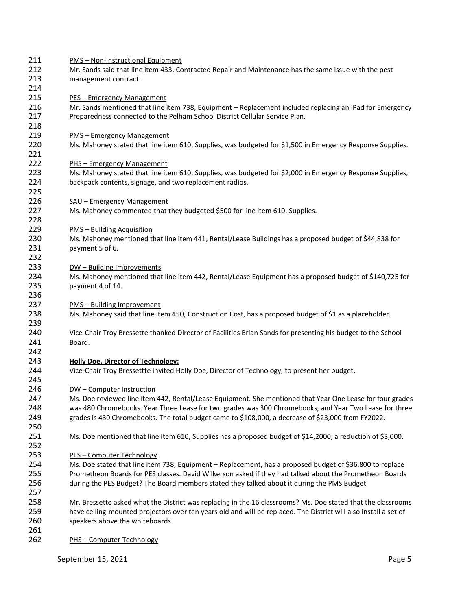PMS – Non-Instructional Equipment Mr. Sands said that line item 433, Contracted Repair and Maintenance has the same issue with the pest management contract. PES – Emergency Management Mr. Sands mentioned that line item 738, Equipment – Replacement included replacing an iPad for Emergency Preparedness connected to the Pelham School District Cellular Service Plan. 219 PMS – Emergency Management Ms. Mahoney stated that line item 610, Supplies, was budgeted for \$1,500 in Emergency Response Supplies. PHS – Emergency Management Ms. Mahoney stated that line item 610, Supplies, was budgeted for \$2,000 in Emergency Response Supplies, backpack contents, signage, and two replacement radios. SAU – Emergency Management Ms. Mahoney commented that they budgeted \$500 for line item 610, Supplies. PMS – Building Acquisition Ms. Mahoney mentioned that line item 441, Rental/Lease Buildings has a proposed budget of \$44,838 for payment 5 of 6. 233 DW – Building Improvements Ms. Mahoney mentioned that line item 442, Rental/Lease Equipment has a proposed budget of \$140,725 for payment 4 of 14. PMS – Building Improvement Ms. Mahoney said that line item 450, Construction Cost, has a proposed budget of \$1 as a placeholder. Vice-Chair Troy Bressette thanked Director of Facilities Brian Sands for presenting his budget to the School Board. **Holly Doe, Director of Technology:** Vice-Chair Troy Bressettte invited Holly Doe, Director of Technology, to present her budget. DW – Computer Instruction Ms. Doe reviewed line item 442, Rental/Lease Equipment. She mentioned that Year One Lease for four grades was 480 Chromebooks. Year Three Lease for two grades was 300 Chromebooks, and Year Two Lease for three grades is 430 Chromebooks. The total budget came to \$108,000, a decrease of \$23,000 from FY2022. Ms. Doe mentioned that line item 610, Supplies has a proposed budget of \$14,2000, a reduction of \$3,000. PES – Computer Technology Ms. Doe stated that line item 738, Equipment – Replacement, has a proposed budget of \$36,800 to replace Prometheon Boards for PES classes. David Wilkerson asked if they had talked about the Prometheon Boards during the PES Budget? The Board members stated they talked about it during the PMS Budget. Mr. Bressette asked what the District was replacing in the 16 classrooms? Ms. Doe stated that the classrooms have ceiling-mounted projectors over ten years old and will be replaced. The District will also install a set of speakers above the whiteboards. PHS – Computer Technology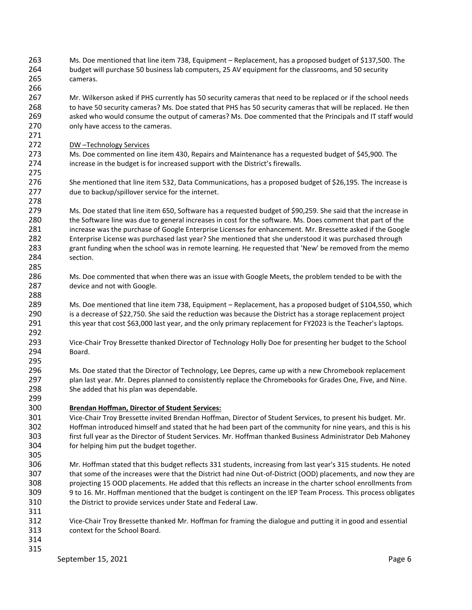- Ms. Doe mentioned that line item 738, Equipment Replacement, has a proposed budget of \$137,500. The budget will purchase 50 business lab computers, 25 AV equipment for the classrooms, and 50 security cameras.
- Mr. Wilkerson asked if PHS currently has 50 security cameras that need to be replaced or if the school needs 268 to have 50 security cameras? Ms. Doe stated that PHS has 50 security cameras that will be replaced. He then asked who would consume the output of cameras? Ms. Doe commented that the Principals and IT staff would 270 only have access to the cameras.
- DW –Technology Services

 Ms. Doe commented on line item 430, Repairs and Maintenance has a requested budget of \$45,900. The increase in the budget is for increased support with the District's firewalls.

 She mentioned that line item 532, Data Communications, has a proposed budget of \$26,195. The increase is due to backup/spillover service for the internet.

 Ms. Doe stated that line item 650, Software has a requested budget of \$90,259. She said that the increase in the Software line was due to general increases in cost for the software. Ms. Does comment that part of the increase was the purchase of Google Enterprise Licenses for enhancement. Mr. Bressette asked if the Google Enterprise License was purchased last year? She mentioned that she understood it was purchased through grant funding when the school was in remote learning. He requested that 'New' be removed from the memo section.

 Ms. Doe commented that when there was an issue with Google Meets, the problem tended to be with the device and not with Google.

 Ms. Doe mentioned that line item 738, Equipment – Replacement, has a proposed budget of \$104,550, which is a decrease of \$22,750. She said the reduction was because the District has a storage replacement project this year that cost \$63,000 last year, and the only primary replacement for FY2023 is the Teacher's laptops.

- Vice-Chair Troy Bressette thanked Director of Technology Holly Doe for presenting her budget to the School Board.
- Ms. Doe stated that the Director of Technology, Lee Depres, came up with a new Chromebook replacement plan last year. Mr. Depres planned to consistently replace the Chromebooks for Grades One, Five, and Nine. She added that his plan was dependable.

## **Brendan Hoffman, Director of Student Services:**

 Vice-Chair Troy Bressette invited Brendan Hoffman, Director of Student Services, to present his budget. Mr. Hoffman introduced himself and stated that he had been part of the community for nine years, and this is his first full year as the Director of Student Services. Mr. Hoffman thanked Business Administrator Deb Mahoney for helping him put the budget together.

- 
- Mr. Hoffman stated that this budget reflects 331 students, increasing from last year's 315 students. He noted that some of the increases were that the District had nine Out-of-District (OOD) placements, and now they are projecting 15 OOD placements. He added that this reflects an increase in the charter school enrollments from 9 to 16. Mr. Hoffman mentioned that the budget is contingent on the IEP Team Process. This process obligates the District to provide services under State and Federal Law.
- Vice-Chair Troy Bressette thanked Mr. Hoffman for framing the dialogue and putting it in good and essential context for the School Board.
-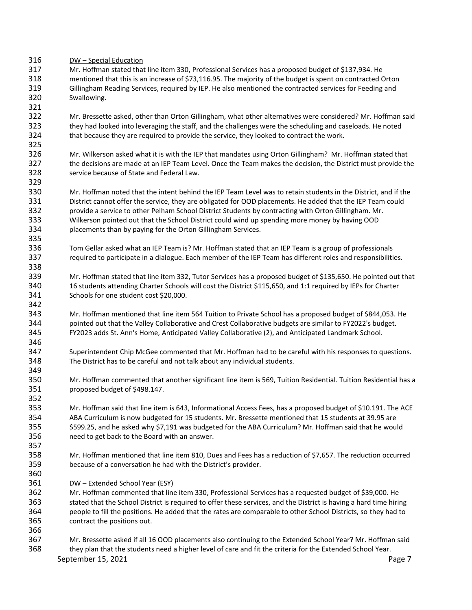DW – Special Education

 Mr. Hoffman stated that line item 330, Professional Services has a proposed budget of \$137,934. He mentioned that this is an increase of \$73,116.95. The majority of the budget is spent on contracted Orton Gillingham Reading Services, required by IEP. He also mentioned the contracted services for Feeding and Swallowing.

 Mr. Bressette asked, other than Orton Gillingham, what other alternatives were considered? Mr. Hoffman said they had looked into leveraging the staff, and the challenges were the scheduling and caseloads. He noted that because they are required to provide the service, they looked to contract the work.

 Mr. Wilkerson asked what it is with the IEP that mandates using Orton Gillingham? Mr. Hoffman stated that the decisions are made at an IEP Team Level. Once the Team makes the decision, the District must provide the service because of State and Federal Law. 

 Mr. Hoffman noted that the intent behind the IEP Team Level was to retain students in the District, and if the District cannot offer the service, they are obligated for OOD placements. He added that the IEP Team could provide a service to other Pelham School District Students by contracting with Orton Gillingham. Mr. Wilkerson pointed out that the School District could wind up spending more money by having OOD placements than by paying for the Orton Gillingham Services.

- Tom Gellar asked what an IEP Team is? Mr. Hoffman stated that an IEP Team is a group of professionals required to participate in a dialogue. Each member of the IEP Team has different roles and responsibilities.
- Mr. Hoffman stated that line item 332, Tutor Services has a proposed budget of \$135,650. He pointed out that 16 students attending Charter Schools will cost the District \$115,650, and 1:1 required by IEPs for Charter Schools for one student cost \$20,000.
- Mr. Hoffman mentioned that line item 564 Tuition to Private School has a proposed budget of \$844,053. He pointed out that the Valley Collaborative and Crest Collaborative budgets are similar to FY2022's budget. FY2023 adds St. Ann's Home, Anticipated Valley Collaborative (2), and Anticipated Landmark School.
- Superintendent Chip McGee commented that Mr. Hoffman had to be careful with his responses to questions. The District has to be careful and not talk about any individual students.
- Mr. Hoffman commented that another significant line item is 569, Tuition Residential. Tuition Residential has a proposed budget of \$498.147.
- Mr. Hoffman said that line item is 643, Informational Access Fees, has a proposed budget of \$10.191. The ACE ABA Curriculum is now budgeted for 15 students. Mr. Bressette mentioned that 15 students at 39.95 are \$599.25, and he asked why \$7,191 was budgeted for the ABA Curriculum? Mr. Hoffman said that he would need to get back to the Board with an answer.
- Mr. Hoffman mentioned that line item 810, Dues and Fees has a reduction of \$7,657. The reduction occurred because of a conversation he had with the District's provider.
- 
- DW Extended School Year (ESY)
- Mr. Hoffman commented that line item 330, Professional Services has a requested budget of \$39,000. He
- stated that the School District is required to offer these services, and the District is having a hard time hiring people to fill the positions. He added that the rates are comparable to other School Districts, so they had to contract the positions out.
- Mr. Bressette asked if all 16 OOD placements also continuing to the Extended School Year? Mr. Hoffman said they plan that the students need a higher level of care and fit the criteria for the Extended School Year.

September 15, 2021 **Page 7** Page 7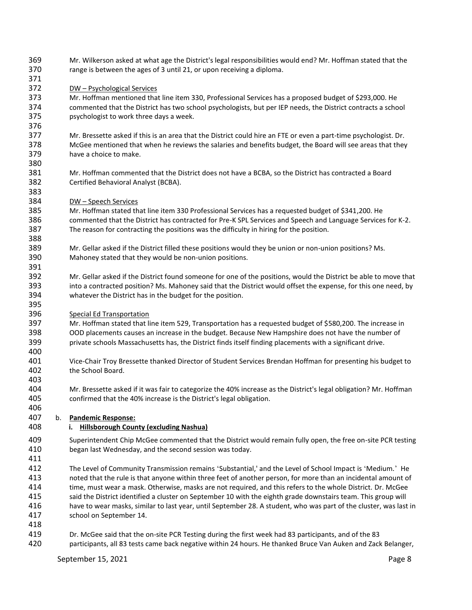- Mr. Wilkerson asked at what age the District's legal responsibilities would end? Mr. Hoffman stated that the range is between the ages of 3 until 21, or upon receiving a diploma.
- DW Psychological Services

 Mr. Hoffman mentioned that line item 330, Professional Services has a proposed budget of \$293,000. He commented that the District has two school psychologists, but per IEP needs, the District contracts a school psychologist to work three days a week.

 Mr. Bressette asked if this is an area that the District could hire an FTE or even a part-time psychologist. Dr. McGee mentioned that when he reviews the salaries and benefits budget, the Board will see areas that they have a choice to make.

- Mr. Hoffman commented that the District does not have a BCBA, so the District has contracted a Board Certified Behavioral Analyst (BCBA).
- DW Speech Services

 Mr. Hoffman stated that line item 330 Professional Services has a requested budget of \$341,200. He commented that the District has contracted for Pre-K SPL Services and Speech and Language Services for K-2. The reason for contracting the positions was the difficulty in hiring for the position.

- Mr. Gellar asked if the District filled these positions would they be union or non-union positions? Ms. Mahoney stated that they would be non-union positions.
- Mr. Gellar asked if the District found someone for one of the positions, would the District be able to move that into a contracted position? Ms. Mahoney said that the District would offset the expense, for this one need, by whatever the District has in the budget for the position.
- Special Ed Transportation

 Mr. Hoffman stated that line item 529, Transportation has a requested budget of \$580,200. The increase in OOD placements causes an increase in the budget. Because New Hampshire does not have the number of private schools Massachusetts has, the District finds itself finding placements with a significant drive.

 Vice-Chair Troy Bressette thanked Director of Student Services Brendan Hoffman for presenting his budget to the School Board.

 Mr. Bressette asked if it was fair to categorize the 40% increase as the District's legal obligation? Mr. Hoffman confirmed that the 40% increase is the District's legal obligation.

## b. **Pandemic Response:**

## **i. Hillsborough County (excluding Nashua)**

 Superintendent Chip McGee commented that the District would remain fully open, the free on-site PCR testing began last Wednesday, and the second session was today.

 The Level of Community Transmission remains 'Substantial,' and the Level of School Impact is 'Medium.' He noted that the rule is that anyone within three feet of another person, for more than an incidental amount of time, must wear a mask. Otherwise, masks are not required, and this refers to the whole District. Dr. McGee said the District identified a cluster on September 10 with the eighth grade downstairs team. This group will have to wear masks, similar to last year, until September 28. A student, who was part of the cluster, was last in school on September 14.

- 
- Dr. McGee said that the on-site PCR Testing during the first week had 83 participants, and of the 83
- participants, all 83 tests came back negative within 24 hours. He thanked Bruce Van Auken and Zack Belanger,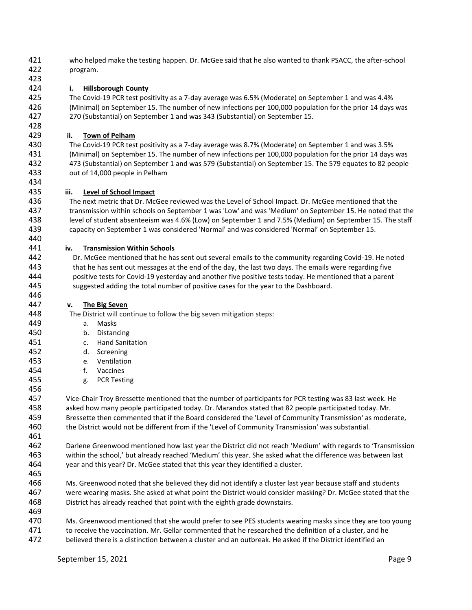- who helped make the testing happen. Dr. McGee said that he also wanted to thank PSACC, the after-school program.
- 

# **i. Hillsborough County**

 The Covid-19 PCR test positivity as a 7-day average was 6.5% (Moderate) on September 1 and was 4.4% (Minimal) on September 15. The number of new infections per 100,000 population for the prior 14 days was 270 (Substantial) on September 1 and was 343 (Substantial) on September 15.

# **ii. Town of Pelham**

 The Covid-19 PCR test positivity as a 7-day average was 8.7% (Moderate) on September 1 and was 3.5% (Minimal) on September 15. The number of new infections per 100,000 population for the prior 14 days was 473 (Substantial) on September 1 and was 579 (Substantial) on September 15. The 579 equates to 82 people out of 14,000 people in Pelham

## **iii. Level of School Impact**

 The next metric that Dr. McGee reviewed was the Level of School Impact. Dr. McGee mentioned that the transmission within schools on September 1 was 'Low' and was 'Medium' on September 15. He noted that the level of student absenteeism was 4.6% (Low) on September 1 and 7.5% (Medium) on September 15. The staff capacity on September 1 was considered 'Normal' and was considered 'Normal' on September 15.

## **iv. Transmission Within Schools**

 Dr. McGee mentioned that he has sent out several emails to the community regarding Covid-19. He noted that he has sent out messages at the end of the day, the last two days. The emails were regarding five positive tests for Covid-19 yesterday and another five positive tests today. He mentioned that a parent suggested adding the total number of positive cases for the year to the Dashboard.

## **v. The Big Seven**

The District will continue to follow the big seven mitigation steps:

- a. Masks
- b. Distancing
- c. Hand Sanitation
- d. Screening
- e. Ventilation
- f. Vaccines
- g. PCR Testing

 Vice-Chair Troy Bressette mentioned that the number of participants for PCR testing was 83 last week. He asked how many people participated today. Dr. Marandos stated that 82 people participated today. Mr. Bressette then commented that if the Board considered the 'Level of Community Transmission' as moderate, the District would not be different from if the 'Level of Community Transmission' was substantial.

 Darlene Greenwood mentioned how last year the District did not reach 'Medium' with regards to 'Transmission within the school,' but already reached 'Medium' this year. She asked what the difference was between last year and this year? Dr. McGee stated that this year they identified a cluster.

- Ms. Greenwood noted that she believed they did not identify a cluster last year because staff and students were wearing masks. She asked at what point the District would consider masking? Dr. McGee stated that the District has already reached that point with the eighth grade downstairs.
- Ms. Greenwood mentioned that she would prefer to see PES students wearing masks since they are too young 471 to receive the vaccination. Mr. Gellar commented that he researched the definition of a cluster, and he
- believed there is a distinction between a cluster and an outbreak. He asked if the District identified an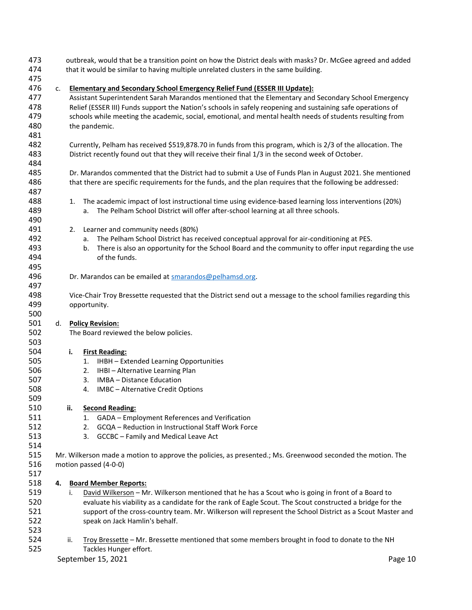| 473<br>474 |    | outbreak, would that be a transition point on how the District deals with masks? Dr. McGee agreed and added<br>that it would be similar to having multiple unrelated clusters in the same building. |                                                                                                                |  |  |  |  |  |  |  |  |
|------------|----|-----------------------------------------------------------------------------------------------------------------------------------------------------------------------------------------------------|----------------------------------------------------------------------------------------------------------------|--|--|--|--|--|--|--|--|
| 475        |    |                                                                                                                                                                                                     |                                                                                                                |  |  |  |  |  |  |  |  |
| 476        | c. | <b>Elementary and Secondary School Emergency Relief Fund (ESSER III Update):</b>                                                                                                                    |                                                                                                                |  |  |  |  |  |  |  |  |
| 477        |    | Assistant Superintendent Sarah Marandos mentioned that the Elementary and Secondary School Emergency                                                                                                |                                                                                                                |  |  |  |  |  |  |  |  |
| 478        |    | Relief (ESSER III) Funds support the Nation's schools in safely reopening and sustaining safe operations of                                                                                         |                                                                                                                |  |  |  |  |  |  |  |  |
| 479        |    |                                                                                                                                                                                                     | schools while meeting the academic, social, emotional, and mental health needs of students resulting from      |  |  |  |  |  |  |  |  |
| 480        |    | the pandemic.                                                                                                                                                                                       |                                                                                                                |  |  |  |  |  |  |  |  |
| 481        |    |                                                                                                                                                                                                     |                                                                                                                |  |  |  |  |  |  |  |  |
| 482        |    |                                                                                                                                                                                                     |                                                                                                                |  |  |  |  |  |  |  |  |
| 483        |    | Currently, Pelham has received \$519,878.70 in funds from this program, which is 2/3 of the allocation. The                                                                                         |                                                                                                                |  |  |  |  |  |  |  |  |
| 484        |    | District recently found out that they will receive their final 1/3 in the second week of October.                                                                                                   |                                                                                                                |  |  |  |  |  |  |  |  |
| 485        |    |                                                                                                                                                                                                     |                                                                                                                |  |  |  |  |  |  |  |  |
| 486        |    | Dr. Marandos commented that the District had to submit a Use of Funds Plan in August 2021. She mentioned                                                                                            |                                                                                                                |  |  |  |  |  |  |  |  |
| 487        |    |                                                                                                                                                                                                     | that there are specific requirements for the funds, and the plan requires that the following be addressed:     |  |  |  |  |  |  |  |  |
|            |    |                                                                                                                                                                                                     |                                                                                                                |  |  |  |  |  |  |  |  |
| 488        |    | 1.                                                                                                                                                                                                  | The academic impact of lost instructional time using evidence-based learning loss interventions (20%)          |  |  |  |  |  |  |  |  |
| 489        |    |                                                                                                                                                                                                     | The Pelham School District will offer after-school learning at all three schools.<br>а.                        |  |  |  |  |  |  |  |  |
| 490        |    |                                                                                                                                                                                                     |                                                                                                                |  |  |  |  |  |  |  |  |
| 491        |    | 2.                                                                                                                                                                                                  | Learner and community needs (80%)                                                                              |  |  |  |  |  |  |  |  |
| 492        |    |                                                                                                                                                                                                     | The Pelham School District has received conceptual approval for air-conditioning at PES.<br>а.                 |  |  |  |  |  |  |  |  |
| 493        |    |                                                                                                                                                                                                     | There is also an opportunity for the School Board and the community to offer input regarding the use<br>b.     |  |  |  |  |  |  |  |  |
| 494        |    |                                                                                                                                                                                                     | of the funds.                                                                                                  |  |  |  |  |  |  |  |  |
| 495        |    |                                                                                                                                                                                                     |                                                                                                                |  |  |  |  |  |  |  |  |
| 496        |    |                                                                                                                                                                                                     | Dr. Marandos can be emailed at smarandos@pelhamsd.org.                                                         |  |  |  |  |  |  |  |  |
| 497        |    |                                                                                                                                                                                                     |                                                                                                                |  |  |  |  |  |  |  |  |
| 498        |    |                                                                                                                                                                                                     | Vice-Chair Troy Bressette requested that the District send out a message to the school families regarding this |  |  |  |  |  |  |  |  |
| 499        |    |                                                                                                                                                                                                     | opportunity.                                                                                                   |  |  |  |  |  |  |  |  |
| 500        |    |                                                                                                                                                                                                     |                                                                                                                |  |  |  |  |  |  |  |  |
| 501        | d. |                                                                                                                                                                                                     | <b>Policy Revision:</b>                                                                                        |  |  |  |  |  |  |  |  |
| 502        |    |                                                                                                                                                                                                     | The Board reviewed the below policies.                                                                         |  |  |  |  |  |  |  |  |
| 503        |    |                                                                                                                                                                                                     |                                                                                                                |  |  |  |  |  |  |  |  |
| 504        |    | i.                                                                                                                                                                                                  | <b>First Reading:</b>                                                                                          |  |  |  |  |  |  |  |  |
| 505        |    |                                                                                                                                                                                                     | IHBH - Extended Learning Opportunities<br>1.                                                                   |  |  |  |  |  |  |  |  |
| 506        |    |                                                                                                                                                                                                     | IHBI - Alternative Learning Plan<br>2.                                                                         |  |  |  |  |  |  |  |  |
| 507        |    |                                                                                                                                                                                                     | IMBA - Distance Education<br>3.                                                                                |  |  |  |  |  |  |  |  |
| 508        |    |                                                                                                                                                                                                     | IMBC - Alternative Credit Options<br>4.                                                                        |  |  |  |  |  |  |  |  |
| 509        |    |                                                                                                                                                                                                     |                                                                                                                |  |  |  |  |  |  |  |  |
| 510        |    | ii.                                                                                                                                                                                                 | <b>Second Reading:</b>                                                                                         |  |  |  |  |  |  |  |  |
| 511        |    |                                                                                                                                                                                                     | GADA - Employment References and Verification<br>1.                                                            |  |  |  |  |  |  |  |  |
| 512        |    |                                                                                                                                                                                                     | GCQA - Reduction in Instructional Staff Work Force<br>2.                                                       |  |  |  |  |  |  |  |  |
| 513        |    |                                                                                                                                                                                                     | GCCBC - Family and Medical Leave Act<br>3.                                                                     |  |  |  |  |  |  |  |  |
| 514        |    |                                                                                                                                                                                                     |                                                                                                                |  |  |  |  |  |  |  |  |
| 515        |    |                                                                                                                                                                                                     | Mr. Wilkerson made a motion to approve the policies, as presented.; Ms. Greenwood seconded the motion. The     |  |  |  |  |  |  |  |  |
| 516        |    | motion passed (4-0-0)                                                                                                                                                                               |                                                                                                                |  |  |  |  |  |  |  |  |
| 517        |    |                                                                                                                                                                                                     |                                                                                                                |  |  |  |  |  |  |  |  |
| 518        | 4. |                                                                                                                                                                                                     | <b>Board Member Reports:</b>                                                                                   |  |  |  |  |  |  |  |  |
| 519        |    | i.                                                                                                                                                                                                  | David Wilkerson - Mr. Wilkerson mentioned that he has a Scout who is going in front of a Board to              |  |  |  |  |  |  |  |  |
| 520        |    |                                                                                                                                                                                                     | evaluate his viability as a candidate for the rank of Eagle Scout. The Scout constructed a bridge for the      |  |  |  |  |  |  |  |  |
| 521        |    |                                                                                                                                                                                                     | support of the cross-country team. Mr. Wilkerson will represent the School District as a Scout Master and      |  |  |  |  |  |  |  |  |
| 522        |    |                                                                                                                                                                                                     | speak on Jack Hamlin's behalf.                                                                                 |  |  |  |  |  |  |  |  |
| 523        |    |                                                                                                                                                                                                     |                                                                                                                |  |  |  |  |  |  |  |  |
| 524        |    | ii.                                                                                                                                                                                                 | Troy Bressette - Mr. Bressette mentioned that some members brought in food to donate to the NH                 |  |  |  |  |  |  |  |  |
| 525        |    |                                                                                                                                                                                                     | Tackles Hunger effort.                                                                                         |  |  |  |  |  |  |  |  |
|            |    | September 15, 2021                                                                                                                                                                                  |                                                                                                                |  |  |  |  |  |  |  |  |
|            |    |                                                                                                                                                                                                     | Page 10                                                                                                        |  |  |  |  |  |  |  |  |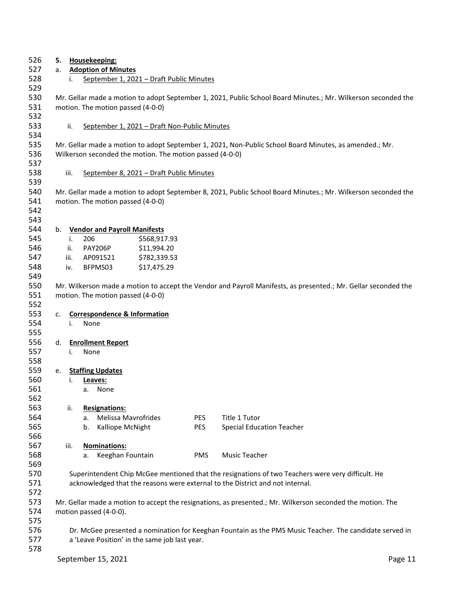| 526        | 5. |                                                                                                                                                                                    | Housekeeping:                                                          |                                                          |            |                                                                                                                |  |  |  |  |
|------------|----|------------------------------------------------------------------------------------------------------------------------------------------------------------------------------------|------------------------------------------------------------------------|----------------------------------------------------------|------------|----------------------------------------------------------------------------------------------------------------|--|--|--|--|
| 527        | а. |                                                                                                                                                                                    | <b>Adoption of Minutes</b><br>September 1, 2021 - Draft Public Minutes |                                                          |            |                                                                                                                |  |  |  |  |
| 528<br>529 |    | i.                                                                                                                                                                                 |                                                                        |                                                          |            |                                                                                                                |  |  |  |  |
| 530        |    |                                                                                                                                                                                    |                                                                        |                                                          |            | Mr. Gellar made a motion to adopt September 1, 2021, Public School Board Minutes.; Mr. Wilkerson seconded the  |  |  |  |  |
| 531<br>532 |    | motion. The motion passed (4-0-0)                                                                                                                                                  |                                                                        |                                                          |            |                                                                                                                |  |  |  |  |
| 533        |    | ii.                                                                                                                                                                                |                                                                        | September 1, 2021 - Draft Non-Public Minutes             |            |                                                                                                                |  |  |  |  |
| 534<br>535 |    |                                                                                                                                                                                    |                                                                        |                                                          |            |                                                                                                                |  |  |  |  |
| 536        |    |                                                                                                                                                                                    |                                                                        | Wilkerson seconded the motion. The motion passed (4-0-0) |            | Mr. Gellar made a motion to adopt September 1, 2021, Non-Public School Board Minutes, as amended.; Mr.         |  |  |  |  |
| 537        |    |                                                                                                                                                                                    |                                                                        |                                                          |            |                                                                                                                |  |  |  |  |
| 538        |    | iii.                                                                                                                                                                               |                                                                        | September 8, 2021 - Draft Public Minutes                 |            |                                                                                                                |  |  |  |  |
| 539        |    |                                                                                                                                                                                    |                                                                        |                                                          |            |                                                                                                                |  |  |  |  |
| 540        |    |                                                                                                                                                                                    |                                                                        |                                                          |            | Mr. Gellar made a motion to adopt September 8, 2021, Public School Board Minutes.; Mr. Wilkerson seconded the  |  |  |  |  |
| 541        |    |                                                                                                                                                                                    | motion. The motion passed (4-0-0)                                      |                                                          |            |                                                                                                                |  |  |  |  |
| 542        |    |                                                                                                                                                                                    |                                                                        |                                                          |            |                                                                                                                |  |  |  |  |
| 543        |    |                                                                                                                                                                                    |                                                                        |                                                          |            |                                                                                                                |  |  |  |  |
| 544        | b. |                                                                                                                                                                                    | <b>Vendor and Payroll Manifests</b>                                    |                                                          |            |                                                                                                                |  |  |  |  |
| 545        |    | i.                                                                                                                                                                                 | 206                                                                    | \$568,917.93                                             |            |                                                                                                                |  |  |  |  |
| 546        |    | ii.                                                                                                                                                                                | <b>PAY206P</b>                                                         | \$11,994.20                                              |            |                                                                                                                |  |  |  |  |
| 547        |    | iii.                                                                                                                                                                               | AP091521                                                               | \$782,339.53                                             |            |                                                                                                                |  |  |  |  |
| 548        |    | iv.                                                                                                                                                                                | BFPMS03                                                                | \$17,475.29                                              |            |                                                                                                                |  |  |  |  |
| 549        |    |                                                                                                                                                                                    |                                                                        |                                                          |            |                                                                                                                |  |  |  |  |
| 550        |    |                                                                                                                                                                                    |                                                                        |                                                          |            | Mr. Wilkerson made a motion to accept the Vendor and Payroll Manifests, as presented.; Mr. Gellar seconded the |  |  |  |  |
| 551        |    |                                                                                                                                                                                    | motion. The motion passed (4-0-0)                                      |                                                          |            |                                                                                                                |  |  |  |  |
| 552        |    |                                                                                                                                                                                    |                                                                        |                                                          |            |                                                                                                                |  |  |  |  |
| 553        | c. |                                                                                                                                                                                    | <b>Correspondence &amp; Information</b>                                |                                                          |            |                                                                                                                |  |  |  |  |
| 554        |    | i.                                                                                                                                                                                 | None                                                                   |                                                          |            |                                                                                                                |  |  |  |  |
| 555        |    |                                                                                                                                                                                    |                                                                        |                                                          |            |                                                                                                                |  |  |  |  |
| 556        | d. |                                                                                                                                                                                    | <b>Enrollment Report</b>                                               |                                                          |            |                                                                                                                |  |  |  |  |
| 557        |    | i.                                                                                                                                                                                 | None                                                                   |                                                          |            |                                                                                                                |  |  |  |  |
| 558        |    |                                                                                                                                                                                    |                                                                        |                                                          |            |                                                                                                                |  |  |  |  |
| 559        | e. |                                                                                                                                                                                    | <b>Staffing Updates</b>                                                |                                                          |            |                                                                                                                |  |  |  |  |
| 560        |    | i.                                                                                                                                                                                 | Leaves:                                                                |                                                          |            |                                                                                                                |  |  |  |  |
| 561        |    |                                                                                                                                                                                    | None<br>a.                                                             |                                                          |            |                                                                                                                |  |  |  |  |
| 562        |    |                                                                                                                                                                                    |                                                                        |                                                          |            |                                                                                                                |  |  |  |  |
| 563        |    | ii.                                                                                                                                                                                | <b>Resignations:</b>                                                   |                                                          |            |                                                                                                                |  |  |  |  |
| 564        |    |                                                                                                                                                                                    | <b>Melissa Mavrofrides</b><br>a.                                       |                                                          | <b>PES</b> | Title 1 Tutor                                                                                                  |  |  |  |  |
| 565        |    |                                                                                                                                                                                    | Kalliope McNight<br>b.                                                 |                                                          | <b>PES</b> | <b>Special Education Teacher</b>                                                                               |  |  |  |  |
| 566        |    |                                                                                                                                                                                    |                                                                        |                                                          |            |                                                                                                                |  |  |  |  |
| 567        |    | iii.                                                                                                                                                                               | Nominations:                                                           |                                                          |            |                                                                                                                |  |  |  |  |
| 568<br>569 |    |                                                                                                                                                                                    | Keeghan Fountain<br>а.                                                 |                                                          | PMS        | Music Teacher                                                                                                  |  |  |  |  |
| 570        |    |                                                                                                                                                                                    |                                                                        |                                                          |            |                                                                                                                |  |  |  |  |
| 571        |    | Superintendent Chip McGee mentioned that the resignations of two Teachers were very difficult. He<br>acknowledged that the reasons were external to the District and not internal. |                                                                        |                                                          |            |                                                                                                                |  |  |  |  |
| 572        |    |                                                                                                                                                                                    |                                                                        |                                                          |            |                                                                                                                |  |  |  |  |
| 573        |    |                                                                                                                                                                                    |                                                                        |                                                          |            |                                                                                                                |  |  |  |  |
| 574        |    | Mr. Gellar made a motion to accept the resignations, as presented.; Mr. Wilkerson seconded the motion. The<br>motion passed (4-0-0).                                               |                                                                        |                                                          |            |                                                                                                                |  |  |  |  |
| 575        |    |                                                                                                                                                                                    |                                                                        |                                                          |            |                                                                                                                |  |  |  |  |
| 576        |    | Dr. McGee presented a nomination for Keeghan Fountain as the PMS Music Teacher. The candidate served in                                                                            |                                                                        |                                                          |            |                                                                                                                |  |  |  |  |
| 577        |    | a 'Leave Position' in the same job last year.                                                                                                                                      |                                                                        |                                                          |            |                                                                                                                |  |  |  |  |
| 578        |    |                                                                                                                                                                                    |                                                                        |                                                          |            |                                                                                                                |  |  |  |  |
|            |    | September 15, 2021<br>Page 11                                                                                                                                                      |                                                                        |                                                          |            |                                                                                                                |  |  |  |  |